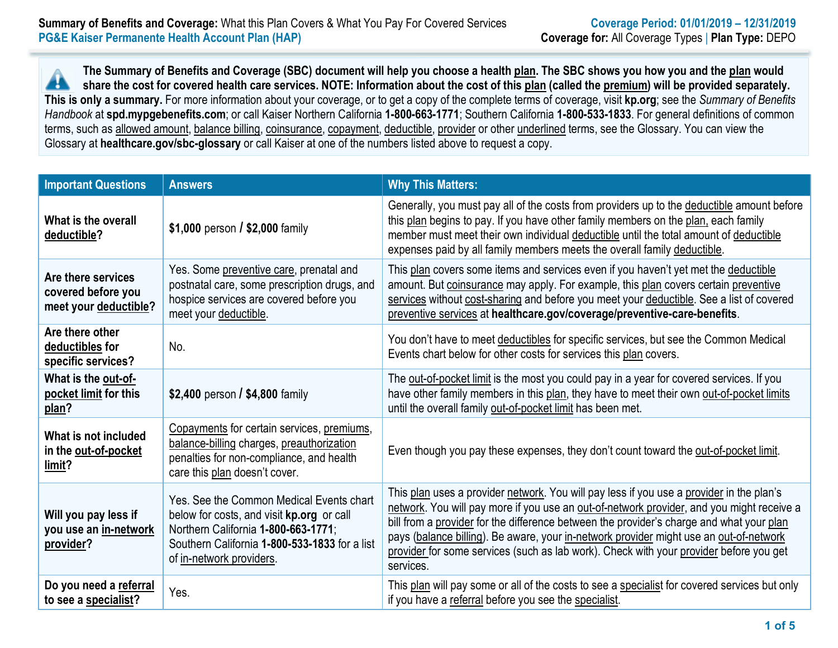**The Summary of Benefits and Coverage (SBC) document will help you choose a health plan. The SBC shows you how you and the plan would** A **share the cost for covered health care services. NOTE: Information about the cost of this plan (called the premium) will be provided separately. This is only a summary.** For more information about your coverage, or to get a copy of the complete terms of coverage, visit **kp.org**; see the *Summary of Benefits Handbook* at **spd.mypgebenefits.com**; or call Kaiser Northern California **1-800-663-1771**; Southern California **1-800-533-1833**. For general definitions of common terms, such as allowed amount, balance billing, coinsurance, copayment, deductible, provider or other underlined terms, see the Glossary. You can view the Glossary at **healthcare.gov/sbc-glossary** or call Kaiser at one of the numbers listed above to request a copy.

| <b>Important Questions</b>                                        | <b>Answers</b>                                                                                                                                                                                            | <b>Why This Matters:</b>                                                                                                                                                                                                                                                                                                                                                                                                                                                           |
|-------------------------------------------------------------------|-----------------------------------------------------------------------------------------------------------------------------------------------------------------------------------------------------------|------------------------------------------------------------------------------------------------------------------------------------------------------------------------------------------------------------------------------------------------------------------------------------------------------------------------------------------------------------------------------------------------------------------------------------------------------------------------------------|
| What is the overall<br>deductible?                                | \$1,000 person $/$ \$2,000 family                                                                                                                                                                         | Generally, you must pay all of the costs from providers up to the deductible amount before<br>this plan begins to pay. If you have other family members on the plan, each family<br>member must meet their own individual deductible until the total amount of deductible<br>expenses paid by all family members meets the overall family deductible.                                                                                                                              |
| Are there services<br>covered before you<br>meet your deductible? | Yes. Some preventive care, prenatal and<br>postnatal care, some prescription drugs, and<br>hospice services are covered before you<br>meet your deductible.                                               | This plan covers some items and services even if you haven't yet met the deductible<br>amount. But coinsurance may apply. For example, this plan covers certain preventive<br>services without cost-sharing and before you meet your deductible. See a list of covered<br>preventive services at healthcare.gov/coverage/preventive-care-benefits.                                                                                                                                 |
| Are there other<br>deductibles for<br>specific services?          | No.                                                                                                                                                                                                       | You don't have to meet deductibles for specific services, but see the Common Medical<br>Events chart below for other costs for services this plan covers.                                                                                                                                                                                                                                                                                                                          |
| What is the out-of-<br>pocket limit for this<br>plan?             | \$2,400 person / \$4,800 family                                                                                                                                                                           | The out-of-pocket limit is the most you could pay in a year for covered services. If you<br>have other family members in this plan, they have to meet their own out-of-pocket limits<br>until the overall family out-of-pocket limit has been met.                                                                                                                                                                                                                                 |
| What is not included<br>in the out-of-pocket<br>limit?            | Copayments for certain services, premiums,<br>balance-billing charges, preauthorization<br>penalties for non-compliance, and health<br>care this plan doesn't cover.                                      | Even though you pay these expenses, they don't count toward the out-of-pocket limit.                                                                                                                                                                                                                                                                                                                                                                                               |
| Will you pay less if<br>you use an in-network<br>provider?        | Yes. See the Common Medical Events chart<br>below for costs, and visit kp.org or call<br>Northern California 1-800-663-1771;<br>Southern California 1-800-533-1833 for a list<br>of in-network providers. | This plan uses a provider network. You will pay less if you use a provider in the plan's<br>network. You will pay more if you use an out-of-network provider, and you might receive a<br>bill from a provider for the difference between the provider's charge and what your plan<br>pays (balance billing). Be aware, your in-network provider might use an out-of-network<br>provider for some services (such as lab work). Check with your provider before you get<br>services. |
| Do you need a referral<br>to see a specialist?                    | Yes.                                                                                                                                                                                                      | This plan will pay some or all of the costs to see a specialist for covered services but only<br>if you have a referral before you see the specialist.                                                                                                                                                                                                                                                                                                                             |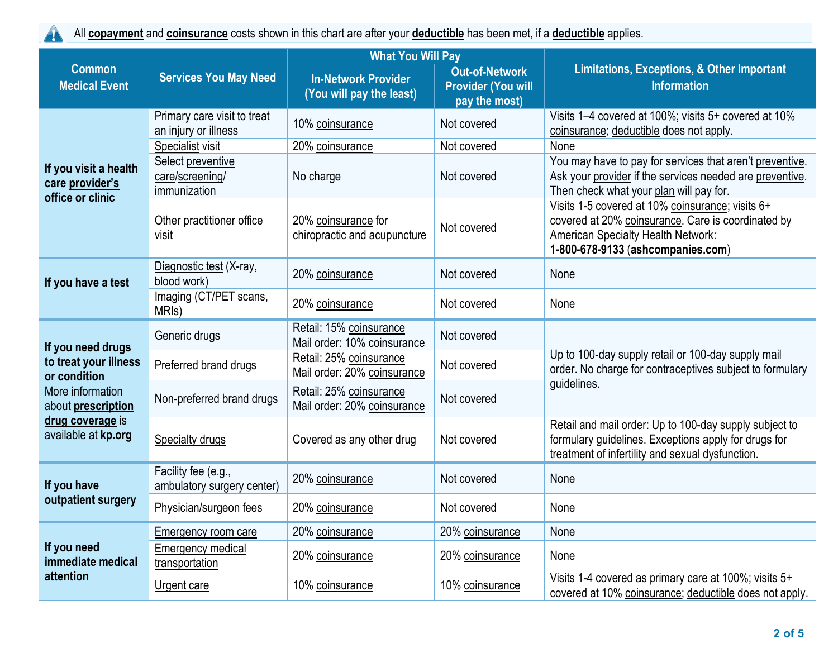All **copayment** and **coinsurance** costs shown in this chart are after your **deductible** has been met, if a **deductible** applies.  $\blacktriangle$ 

|                                                                                 |                                                      | <b>What You Will Pay</b>                               |                                                                     |                                                                                                                                                                                          |  |
|---------------------------------------------------------------------------------|------------------------------------------------------|--------------------------------------------------------|---------------------------------------------------------------------|------------------------------------------------------------------------------------------------------------------------------------------------------------------------------------------|--|
| <b>Common</b><br><b>Medical Event</b>                                           | <b>Services You May Need</b>                         | <b>In-Network Provider</b><br>(You will pay the least) | <b>Out-of-Network</b><br><b>Provider (You will</b><br>pay the most) | <b>Limitations, Exceptions, &amp; Other Important</b><br><b>Information</b>                                                                                                              |  |
|                                                                                 | Primary care visit to treat<br>an injury or illness  | 10% coinsurance                                        | Not covered                                                         | Visits 1-4 covered at 100%; visits 5+ covered at 10%<br>coinsurance; deductible does not apply.                                                                                          |  |
|                                                                                 | Specialist visit                                     | 20% coinsurance                                        | Not covered                                                         | None                                                                                                                                                                                     |  |
| If you visit a health<br>care provider's<br>office or clinic                    | Select preventive<br>care/screening/<br>immunization | No charge                                              | Not covered                                                         | You may have to pay for services that aren't preventive.<br>Ask your provider if the services needed are preventive.<br>Then check what your plan will pay for.                          |  |
|                                                                                 | Other practitioner office<br>visit                   | 20% coinsurance for<br>chiropractic and acupuncture    | Not covered                                                         | Visits 1-5 covered at 10% coinsurance; visits 6+<br>covered at 20% coinsurance. Care is coordinated by<br><b>American Specialty Health Network:</b><br>1-800-678-9133 (ashcompanies.com) |  |
| If you have a test                                                              | Diagnostic test (X-ray,<br>blood work)               | 20% coinsurance                                        | Not covered                                                         | None                                                                                                                                                                                     |  |
|                                                                                 | Imaging (CT/PET scans,<br>MRI <sub>s</sub> )         | 20% coinsurance                                        | Not covered                                                         | None                                                                                                                                                                                     |  |
| If you need drugs                                                               | Generic drugs                                        | Retail: 15% coinsurance<br>Mail order: 10% coinsurance | Not covered                                                         |                                                                                                                                                                                          |  |
| to treat your illness<br>or condition<br>More information<br>about prescription | Preferred brand drugs                                | Retail: 25% coinsurance<br>Mail order: 20% coinsurance | Not covered                                                         | Up to 100-day supply retail or 100-day supply mail<br>order. No charge for contraceptives subject to formulary<br>guidelines.                                                            |  |
|                                                                                 | Non-preferred brand drugs                            | Retail: 25% coinsurance<br>Mail order: 20% coinsurance | Not covered                                                         |                                                                                                                                                                                          |  |
| drug coverage is<br>available at kp.org                                         | <b>Specialty drugs</b>                               | Covered as any other drug                              | Not covered                                                         | Retail and mail order: Up to 100-day supply subject to<br>formulary guidelines. Exceptions apply for drugs for<br>treatment of infertility and sexual dysfunction.                       |  |
| If you have                                                                     | Facility fee (e.g.,<br>ambulatory surgery center)    | 20% coinsurance                                        | Not covered                                                         | None                                                                                                                                                                                     |  |
| outpatient surgery                                                              | Physician/surgeon fees                               | 20% coinsurance                                        | Not covered                                                         | None                                                                                                                                                                                     |  |
|                                                                                 | <b>Emergency room care</b>                           | 20% coinsurance                                        | 20% coinsurance                                                     | None                                                                                                                                                                                     |  |
| If you need<br>immediate medical                                                | <b>Emergency medical</b><br>transportation           | 20% coinsurance                                        | 20% coinsurance                                                     | None                                                                                                                                                                                     |  |
| attention                                                                       | Urgent care                                          | 10% coinsurance                                        | 10% coinsurance                                                     | Visits 1-4 covered as primary care at 100%; visits 5+<br>covered at 10% coinsurance; deductible does not apply.                                                                          |  |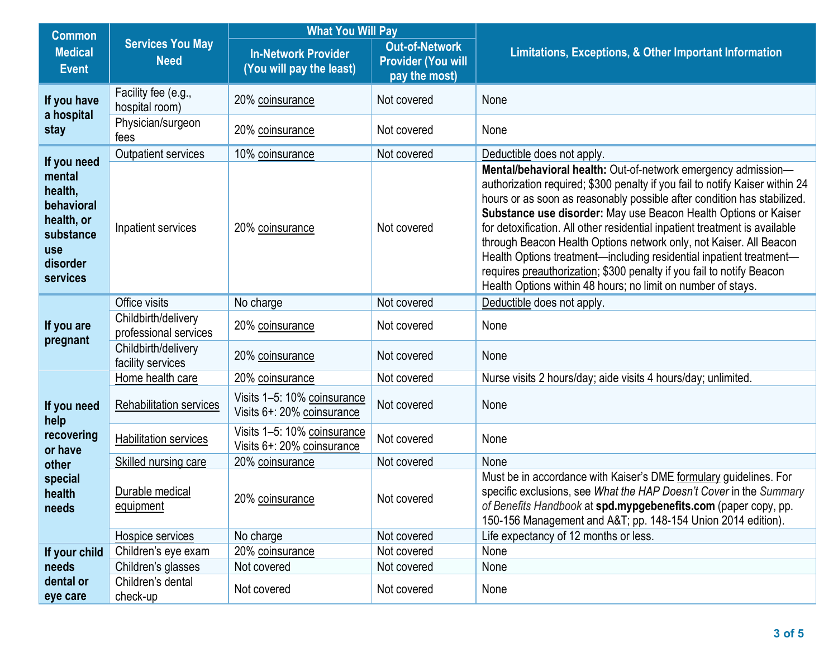| <b>Common</b>                                                                                            |                                              | <b>What You Will Pay</b>                                  |                                                                     |                                                                                                                                                                                                                                                                                                                                                                                                                                                                                                                                                                                                                                                                 |  |
|----------------------------------------------------------------------------------------------------------|----------------------------------------------|-----------------------------------------------------------|---------------------------------------------------------------------|-----------------------------------------------------------------------------------------------------------------------------------------------------------------------------------------------------------------------------------------------------------------------------------------------------------------------------------------------------------------------------------------------------------------------------------------------------------------------------------------------------------------------------------------------------------------------------------------------------------------------------------------------------------------|--|
| <b>Medical</b><br><b>Event</b>                                                                           | <b>Services You May</b><br><b>Need</b>       | <b>In-Network Provider</b><br>(You will pay the least)    | <b>Out-of-Network</b><br><b>Provider (You will</b><br>pay the most) | Limitations, Exceptions, & Other Important Information                                                                                                                                                                                                                                                                                                                                                                                                                                                                                                                                                                                                          |  |
| If you have<br>a hospital                                                                                | Facility fee (e.g.,<br>hospital room)        | 20% coinsurance                                           | Not covered                                                         | None                                                                                                                                                                                                                                                                                                                                                                                                                                                                                                                                                                                                                                                            |  |
| stay                                                                                                     | Physician/surgeon<br>fees                    | 20% coinsurance                                           | Not covered                                                         | None                                                                                                                                                                                                                                                                                                                                                                                                                                                                                                                                                                                                                                                            |  |
|                                                                                                          | Outpatient services                          | 10% coinsurance                                           | Not covered                                                         | Deductible does not apply.                                                                                                                                                                                                                                                                                                                                                                                                                                                                                                                                                                                                                                      |  |
| If you need<br>mental<br>health,<br>behavioral<br>health, or<br>substance<br>use<br>disorder<br>services | Inpatient services                           | 20% coinsurance                                           | Not covered                                                         | Mental/behavioral health: Out-of-network emergency admission-<br>authorization required; \$300 penalty if you fail to notify Kaiser within 24<br>hours or as soon as reasonably possible after condition has stabilized.<br>Substance use disorder: May use Beacon Health Options or Kaiser<br>for detoxification. All other residential inpatient treatment is available<br>through Beacon Health Options network only, not Kaiser. All Beacon<br>Health Options treatment-including residential inpatient treatment-<br>requires preauthorization; \$300 penalty if you fail to notify Beacon<br>Health Options within 48 hours; no limit on number of stays. |  |
|                                                                                                          | Office visits                                | No charge                                                 | Not covered                                                         | Deductible does not apply.                                                                                                                                                                                                                                                                                                                                                                                                                                                                                                                                                                                                                                      |  |
| If you are<br>pregnant                                                                                   | Childbirth/delivery<br>professional services | 20% coinsurance                                           | Not covered                                                         | None                                                                                                                                                                                                                                                                                                                                                                                                                                                                                                                                                                                                                                                            |  |
|                                                                                                          | Childbirth/delivery<br>facility services     | 20% coinsurance                                           | Not covered                                                         | None                                                                                                                                                                                                                                                                                                                                                                                                                                                                                                                                                                                                                                                            |  |
|                                                                                                          | Home health care                             | 20% coinsurance                                           | Not covered                                                         | Nurse visits 2 hours/day; aide visits 4 hours/day; unlimited.                                                                                                                                                                                                                                                                                                                                                                                                                                                                                                                                                                                                   |  |
| If you need<br>help                                                                                      | <b>Rehabilitation services</b>               | Visits 1-5: 10% coinsurance<br>Visits 6+: 20% coinsurance | Not covered                                                         | None                                                                                                                                                                                                                                                                                                                                                                                                                                                                                                                                                                                                                                                            |  |
| recovering<br>or have                                                                                    | <b>Habilitation services</b>                 | Visits 1-5: 10% coinsurance<br>Visits 6+: 20% coinsurance | Not covered                                                         | None                                                                                                                                                                                                                                                                                                                                                                                                                                                                                                                                                                                                                                                            |  |
| other                                                                                                    | <b>Skilled nursing care</b>                  | 20% coinsurance                                           | Not covered                                                         | None                                                                                                                                                                                                                                                                                                                                                                                                                                                                                                                                                                                                                                                            |  |
| special<br>health<br>needs                                                                               | Durable medical<br>equipment                 | 20% coinsurance                                           | Not covered                                                         | Must be in accordance with Kaiser's DME formulary guidelines. For<br>specific exclusions, see What the HAP Doesn't Cover in the Summary<br>of Benefits Handbook at spd.mypgebenefits.com (paper copy, pp.<br>150-156 Management and A&T pp. 148-154 Union 2014 edition).                                                                                                                                                                                                                                                                                                                                                                                        |  |
|                                                                                                          | Hospice services                             | No charge                                                 | Not covered                                                         | Life expectancy of 12 months or less.                                                                                                                                                                                                                                                                                                                                                                                                                                                                                                                                                                                                                           |  |
| If your child                                                                                            | Children's eye exam                          | 20% coinsurance                                           | Not covered                                                         | None                                                                                                                                                                                                                                                                                                                                                                                                                                                                                                                                                                                                                                                            |  |
| needs                                                                                                    | Children's glasses                           | Not covered                                               | Not covered                                                         | None                                                                                                                                                                                                                                                                                                                                                                                                                                                                                                                                                                                                                                                            |  |
| dental or<br>eye care                                                                                    | Children's dental<br>check-up                | Not covered                                               | Not covered                                                         | None                                                                                                                                                                                                                                                                                                                                                                                                                                                                                                                                                                                                                                                            |  |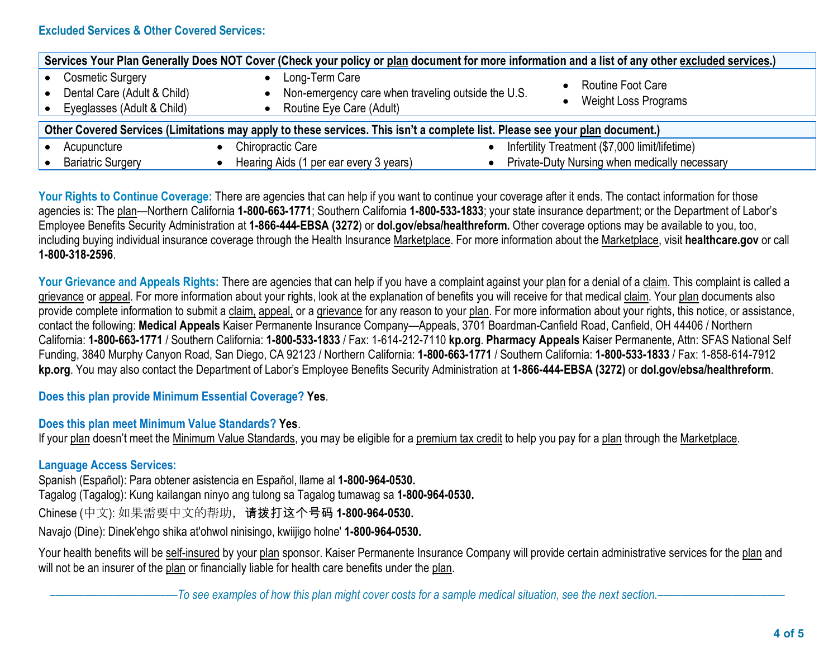## **Excluded Services & Other Covered Services:**

| Services Your Plan Generally Does NOT Cover (Check your policy or plan document for more information and a list of any other excluded services.) |                                                                                                  |                                                                                                 |  |  |
|--------------------------------------------------------------------------------------------------------------------------------------------------|--------------------------------------------------------------------------------------------------|-------------------------------------------------------------------------------------------------|--|--|
| Cosmetic Surgery<br>Dental Care (Adult & Child)<br>Eyeglasses (Adult & Child)                                                                    | Long-Term Care<br>Non-emergency care when traveling outside the U.S.<br>Routine Eye Care (Adult) | <b>Routine Foot Care</b><br><b>Weight Loss Programs</b>                                         |  |  |
| Other Covered Services (Limitations may apply to these services. This isn't a complete list. Please see your plan document.)                     |                                                                                                  |                                                                                                 |  |  |
| Acupuncture<br><b>Bariatric Surgery</b>                                                                                                          | Chiropractic Care<br>Hearing Aids (1 per ear every 3 years)                                      | Infertility Treatment (\$7,000 limit/lifetime)<br>Private-Duty Nursing when medically necessary |  |  |
|                                                                                                                                                  |                                                                                                  |                                                                                                 |  |  |

Your Rights to Continue Coverage: There are agencies that can help if you want to continue your coverage after it ends. The contact information for those agencies is: The plan—Northern California **1-800-663-1771**; Southern California **1-800-533-1833**; your state insurance department; or the Department of Labor's Employee Benefits Security Administration at **1-866-444-EBSA (3272**) or **dol.gov/ebsa/healthreform.** Other coverage options may be available to you, too, including buying individual insurance coverage through the Health Insurance Marketplace. For more information about the Marketplace, visit **healthcare.gov** or call **1-800-318-2596**.

Your Grievance and Appeals Rights: There are agencies that can help if you have a complaint against your plan for a denial of a claim. This complaint is called a grievance or appeal. For more information about your rights, look at the explanation of benefits you will receive for that medical claim. Your plan documents also provide complete information to submit a claim, appeal, or a grievance for any reason to your plan. For more information about your rights, this notice, or assistance, contact the following: **Medical Appeals** Kaiser Permanente Insurance Company—Appeals, 3701 Boardman-Canfield Road, Canfield, OH 44406 / Northern California: **1-800-663-1771** / Southern California: **1-800-533-1833** / Fax: 1-614-212-7110 **kp.org**. **Pharmacy Appeals** Kaiser Permanente, Attn: SFAS National Self Funding, 3840 Murphy Canyon Road, San Diego, CA 92123 / Northern California: **1-800-663-1771** / Southern California: **1-800-533-1833** / Fax: 1-858-614-7912 **kp.org**. You may also contact the Department of Labor's Employee Benefits Security Administration at **1-866-444-EBSA (3272)** or **dol.gov/ebsa/healthreform**.

## **Does this plan provide Minimum Essential Coverage? Yes**.

## **Does this plan meet Minimum Value Standards? Yes**.

If your plan doesn't meet the Minimum Value Standards, you may be eligible for a premium tax credit to help you pay for a plan through the Marketplace.

## **Language Access Services:**

Spanish (Español): Para obtener asistencia en Español, llame al **1-800-964-0530.**

Tagalog (Tagalog): Kung kailangan ninyo ang tulong sa Tagalog tumawag sa **1-800-964-0530.**

Chinese (中文): 如果需要中文的帮助,请拨打这个号码 **1-800-964-0530.**

Navajo (Dine): Dinek'ehgo shika at'ohwol ninisingo, kwiijigo holne' **1-800-964-0530.**

Your health benefits will be self-insured by your plan sponsor. Kaiser Permanente Insurance Company will provide certain administrative services for the plan and will not be an insurer of the plan or financially liable for health care benefits under the plan.

––––––––––––––––––––––*To see examples of how this plan might cover costs for a sample medical situation, see the next section.–––––––––––*–––––––––––